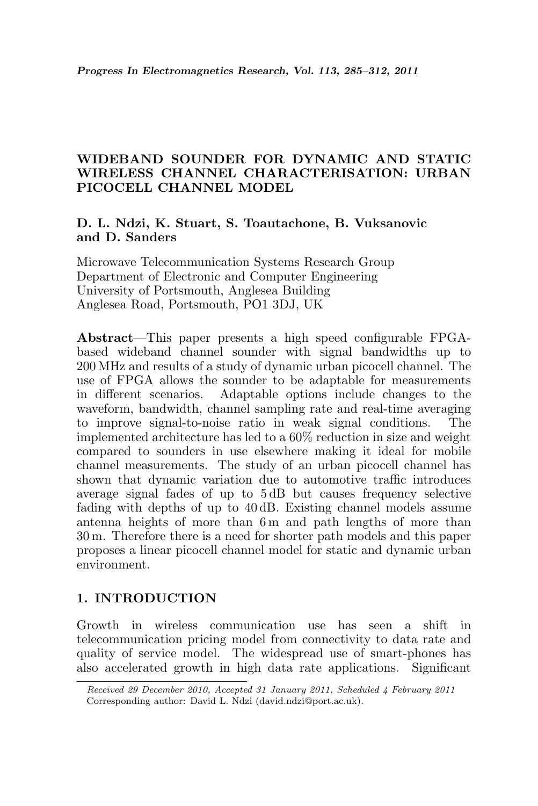# WIDEBAND SOUNDER FOR DYNAMIC AND STATIC WIRELESS CHANNEL CHARACTERISATION: URBAN PICOCELL CHANNEL MODEL

# D. L. Ndzi, K. Stuart, S. Toautachone, B. Vuksanovic and D. Sanders

Microwave Telecommunication Systems Research Group Department of Electronic and Computer Engineering University of Portsmouth, Anglesea Building Anglesea Road, Portsmouth, PO1 3DJ, UK

Abstract—This paper presents a high speed configurable FPGAbased wideband channel sounder with signal bandwidths up to 200 MHz and results of a study of dynamic urban picocell channel. The use of FPGA allows the sounder to be adaptable for measurements in different scenarios. Adaptable options include changes to the waveform, bandwidth, channel sampling rate and real-time averaging to improve signal-to-noise ratio in weak signal conditions. The implemented architecture has led to a 60% reduction in size and weight compared to sounders in use elsewhere making it ideal for mobile channel measurements. The study of an urban picocell channel has shown that dynamic variation due to automotive traffic introduces average signal fades of up to 5 dB but causes frequency selective fading with depths of up to 40 dB. Existing channel models assume antenna heights of more than 6m and path lengths of more than 30 m. Therefore there is a need for shorter path models and this paper proposes a linear picocell channel model for static and dynamic urban environment.

# 1. INTRODUCTION

Growth in wireless communication use has seen a shift in telecommunication pricing model from connectivity to data rate and quality of service model. The widespread use of smart-phones has also accelerated growth in high data rate applications. Significant

Received 29 December 2010, Accepted 31 January 2011, Scheduled 4 February 2011 Corresponding author: David L. Ndzi (david.ndzi@port.ac.uk).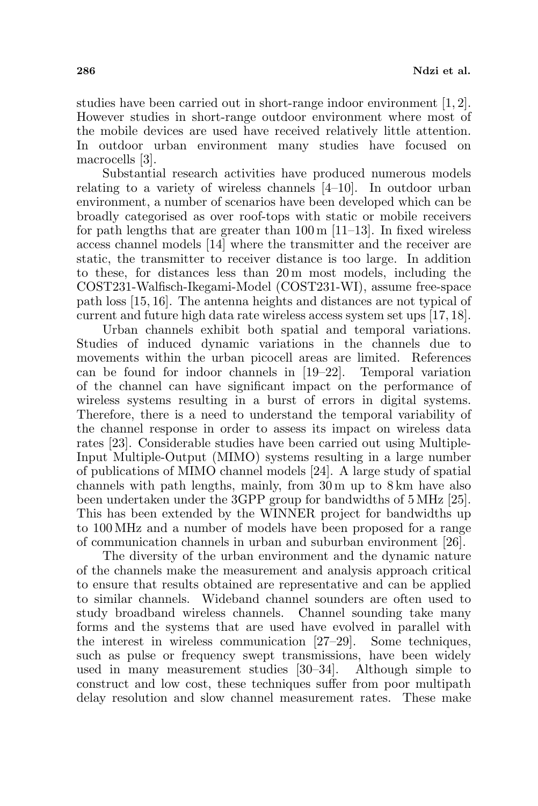studies have been carried out in short-range indoor environment [1, 2]. However studies in short-range outdoor environment where most of the mobile devices are used have received relatively little attention. In outdoor urban environment many studies have focused on macrocells [3].

Substantial research activities have produced numerous models relating to a variety of wireless channels [4–10]. In outdoor urban environment, a number of scenarios have been developed which can be broadly categorised as over roof-tops with static or mobile receivers for path lengths that are greater than  $100 \text{ m}$  [11–13]. In fixed wireless access channel models [14] where the transmitter and the receiver are static, the transmitter to receiver distance is too large. In addition to these, for distances less than 20 m most models, including the COST231-Walfisch-Ikegami-Model (COST231-WI), assume free-space path loss [15, 16]. The antenna heights and distances are not typical of current and future high data rate wireless access system set ups [17, 18].

Urban channels exhibit both spatial and temporal variations. Studies of induced dynamic variations in the channels due to movements within the urban picocell areas are limited. References can be found for indoor channels in [19–22]. Temporal variation of the channel can have significant impact on the performance of wireless systems resulting in a burst of errors in digital systems. Therefore, there is a need to understand the temporal variability of the channel response in order to assess its impact on wireless data rates [23]. Considerable studies have been carried out using Multiple-Input Multiple-Output (MIMO) systems resulting in a large number of publications of MIMO channel models [24]. A large study of spatial channels with path lengths, mainly, from 30 m up to 8 km have also been undertaken under the 3GPP group for bandwidths of 5 MHz [25]. This has been extended by the WINNER project for bandwidths up to 100 MHz and a number of models have been proposed for a range of communication channels in urban and suburban environment [26].

The diversity of the urban environment and the dynamic nature of the channels make the measurement and analysis approach critical to ensure that results obtained are representative and can be applied to similar channels. Wideband channel sounders are often used to study broadband wireless channels. Channel sounding take many forms and the systems that are used have evolved in parallel with the interest in wireless communication [27–29]. Some techniques, such as pulse or frequency swept transmissions, have been widely used in many measurement studies [30–34]. Although simple to construct and low cost, these techniques suffer from poor multipath delay resolution and slow channel measurement rates. These make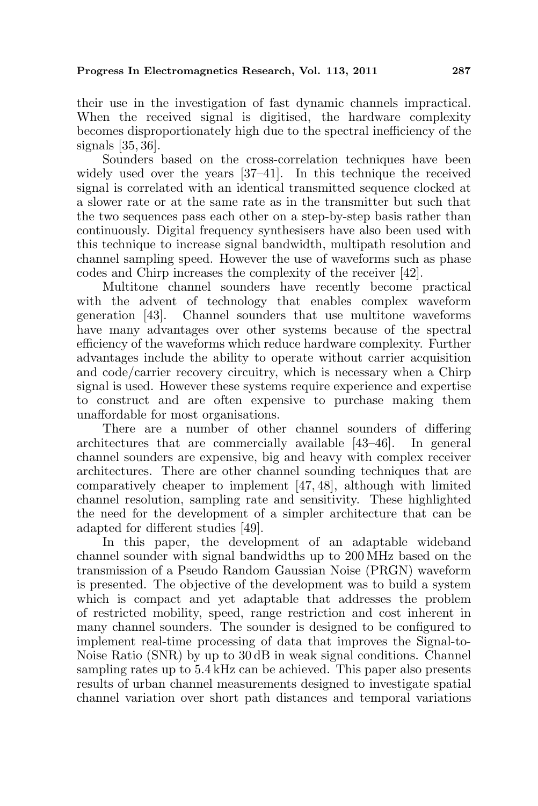their use in the investigation of fast dynamic channels impractical. When the received signal is digitised, the hardware complexity becomes disproportionately high due to the spectral inefficiency of the signals [35, 36].

Sounders based on the cross-correlation techniques have been widely used over the years [37–41]. In this technique the received signal is correlated with an identical transmitted sequence clocked at a slower rate or at the same rate as in the transmitter but such that the two sequences pass each other on a step-by-step basis rather than continuously. Digital frequency synthesisers have also been used with this technique to increase signal bandwidth, multipath resolution and channel sampling speed. However the use of waveforms such as phase codes and Chirp increases the complexity of the receiver [42].

Multitone channel sounders have recently become practical with the advent of technology that enables complex waveform generation [43]. Channel sounders that use multitone waveforms have many advantages over other systems because of the spectral efficiency of the waveforms which reduce hardware complexity. Further advantages include the ability to operate without carrier acquisition and code/carrier recovery circuitry, which is necessary when a Chirp signal is used. However these systems require experience and expertise to construct and are often expensive to purchase making them unaffordable for most organisations.

There are a number of other channel sounders of differing architectures that are commercially available [43–46]. In general channel sounders are expensive, big and heavy with complex receiver architectures. There are other channel sounding techniques that are comparatively cheaper to implement [47, 48], although with limited channel resolution, sampling rate and sensitivity. These highlighted the need for the development of a simpler architecture that can be adapted for different studies [49].

In this paper, the development of an adaptable wideband channel sounder with signal bandwidths up to 200 MHz based on the transmission of a Pseudo Random Gaussian Noise (PRGN) waveform is presented. The objective of the development was to build a system which is compact and yet adaptable that addresses the problem of restricted mobility, speed, range restriction and cost inherent in many channel sounders. The sounder is designed to be configured to implement real-time processing of data that improves the Signal-to-Noise Ratio (SNR) by up to 30 dB in weak signal conditions. Channel sampling rates up to 5.4 kHz can be achieved. This paper also presents results of urban channel measurements designed to investigate spatial channel variation over short path distances and temporal variations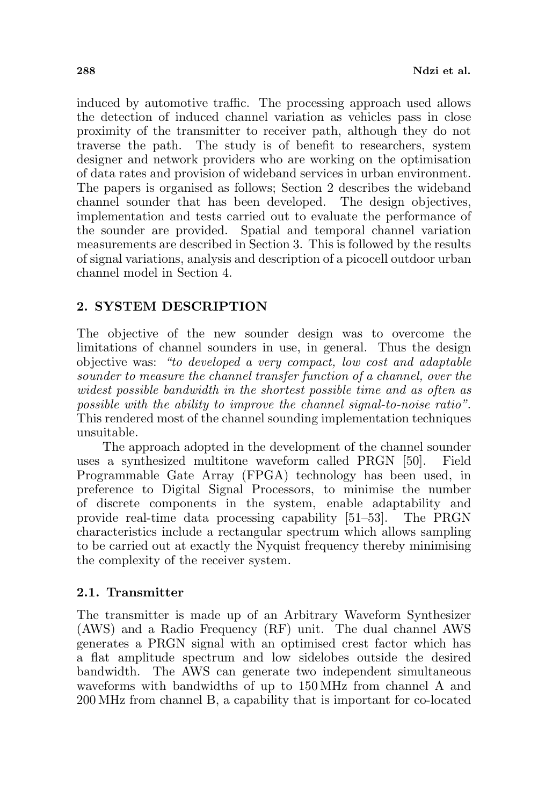induced by automotive traffic. The processing approach used allows the detection of induced channel variation as vehicles pass in close proximity of the transmitter to receiver path, although they do not traverse the path. The study is of benefit to researchers, system designer and network providers who are working on the optimisation of data rates and provision of wideband services in urban environment. The papers is organised as follows; Section 2 describes the wideband channel sounder that has been developed. The design objectives, implementation and tests carried out to evaluate the performance of the sounder are provided. Spatial and temporal channel variation measurements are described in Section 3. This is followed by the results of signal variations, analysis and description of a picocell outdoor urban channel model in Section 4.

# 2. SYSTEM DESCRIPTION

The objective of the new sounder design was to overcome the limitations of channel sounders in use, in general. Thus the design objective was: "to developed a very compact, low cost and adaptable sounder to measure the channel transfer function of a channel, over the widest possible bandwidth in the shortest possible time and as often as possible with the ability to improve the channel signal-to-noise ratio". This rendered most of the channel sounding implementation techniques unsuitable.

The approach adopted in the development of the channel sounder uses a synthesized multitone waveform called PRGN [50]. Field Programmable Gate Array (FPGA) technology has been used, in preference to Digital Signal Processors, to minimise the number of discrete components in the system, enable adaptability and provide real-time data processing capability [51–53]. The PRGN characteristics include a rectangular spectrum which allows sampling to be carried out at exactly the Nyquist frequency thereby minimising the complexity of the receiver system.

# 2.1. Transmitter

The transmitter is made up of an Arbitrary Waveform Synthesizer (AWS) and a Radio Frequency (RF) unit. The dual channel AWS generates a PRGN signal with an optimised crest factor which has a flat amplitude spectrum and low sidelobes outside the desired bandwidth. The AWS can generate two independent simultaneous waveforms with bandwidths of up to 150 MHz from channel A and 200 MHz from channel B, a capability that is important for co-located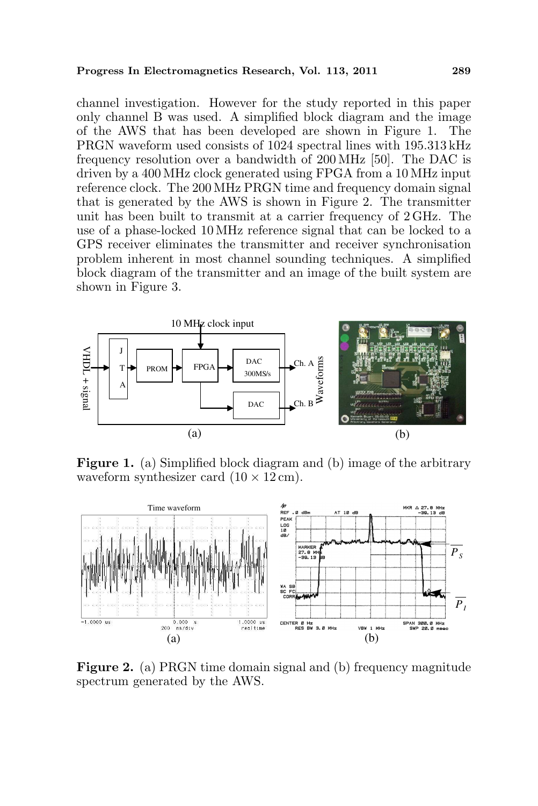#### Progress In Electromagnetics Research, Vol. 113, 2011 289

channel investigation. However for the study reported in this paper only channel B was used. A simplified block diagram and the image of the AWS that has been developed are shown in Figure 1. The PRGN waveform used consists of 1024 spectral lines with 195.313 kHz frequency resolution over a bandwidth of 200 MHz [50]. The DAC is driven by a 400 MHz clock generated using FPGA from a 10 MHz input reference clock. The 200 MHz PRGN time and frequency domain signal that is generated by the AWS is shown in Figure 2. The transmitter unit has been built to transmit at a carrier frequency of 2 GHz. The use of a phase-locked 10 MHz reference signal that can be locked to a GPS receiver eliminates the transmitter and receiver synchronisation problem inherent in most channel sounding techniques. A simplified block diagram of the transmitter and an image of the built system are shown in Figure 3.



Figure 1. (a) Simplified block diagram and (b) image of the arbitrary waveform synthesizer card  $(10 \times 12 \text{ cm})$ .



Figure 2. (a) PRGN time domain signal and (b) frequency magnitude spectrum generated by the AWS.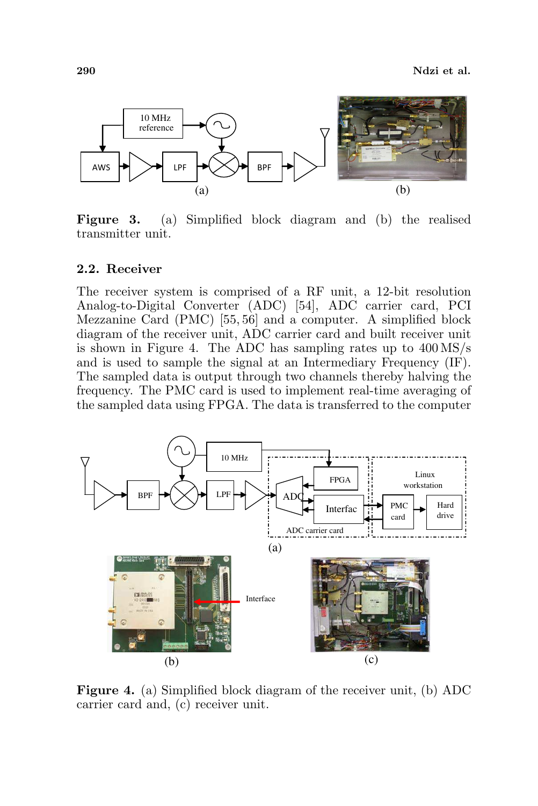

Figure 3. (a) Simplified block diagram and (b) the realised transmitter unit.

### 2.2. Receiver

The receiver system is comprised of a RF unit, a 12-bit resolution Analog-to-Digital Converter (ADC) [54], ADC carrier card, PCI Mezzanine Card (PMC) [55, 56] and a computer. A simplified block diagram of the receiver unit, ADC carrier card and built receiver unit is shown in Figure 4. The ADC has sampling rates up to 400 MS/s and is used to sample the signal at an Intermediary Frequency (IF). The sampled data is output through two channels thereby halving the frequency. The PMC card is used to implement real-time averaging of the sampled data using FPGA. The data is transferred to the computer



Figure 4. (a) Simplified block diagram of the receiver unit, (b) ADC carrier card and, (c) receiver unit.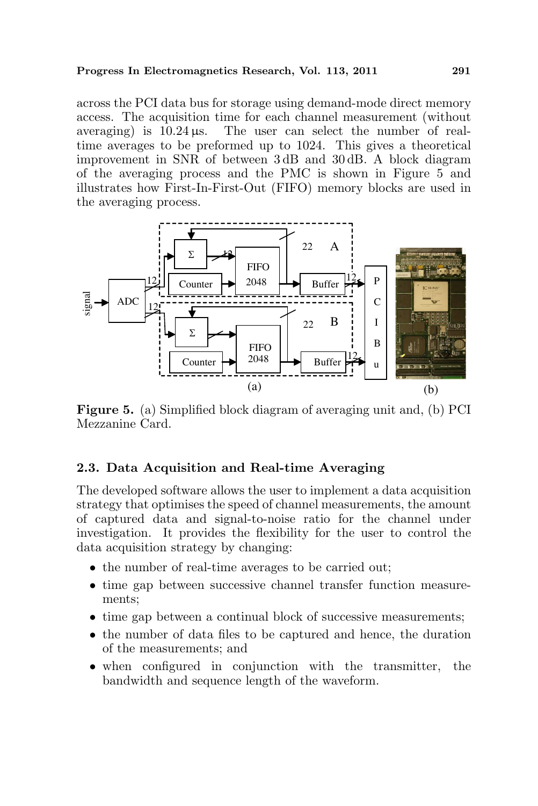### Progress In Electromagnetics Research, Vol. 113, 2011 291

across the PCI data bus for storage using demand-mode direct memory access. The acquisition time for each channel measurement (without averaging) is  $10.24 \,\mu s$ . The user can select the number of realtime averages to be preformed up to 1024. This gives a theoretical improvement in SNR of between 3 dB and 30 dB. A block diagram of the averaging process and the PMC is shown in Figure 5 and illustrates how First-In-First-Out (FIFO) memory blocks are used in the averaging process.



Figure 5. (a) Simplified block diagram of averaging unit and, (b) PCI Mezzanine Card.

# 2.3. Data Acquisition and Real-time Averaging

The developed software allows the user to implement a data acquisition strategy that optimises the speed of channel measurements, the amount of captured data and signal-to-noise ratio for the channel under investigation. It provides the flexibility for the user to control the data acquisition strategy by changing:

- the number of real-time averages to be carried out;
- time gap between successive channel transfer function measurements;
- time gap between a continual block of successive measurements;
- the number of data files to be captured and hence, the duration of the measurements; and
- when configured in conjunction with the transmitter, the bandwidth and sequence length of the waveform.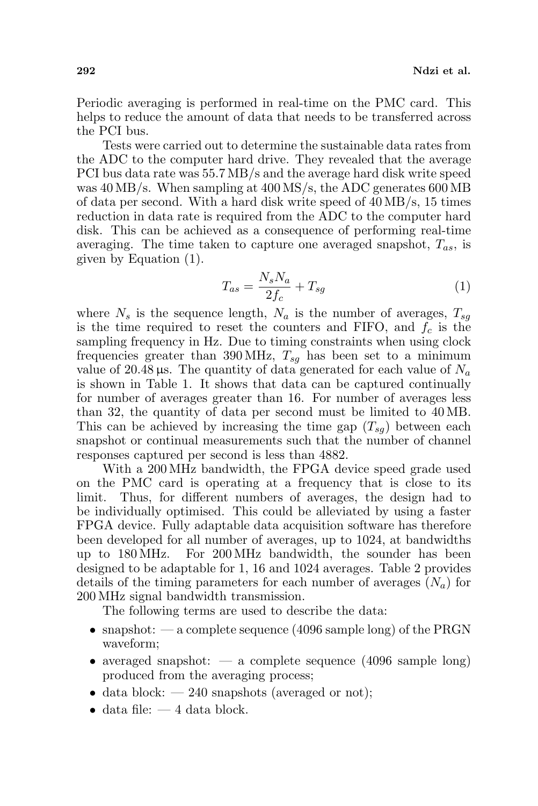Periodic averaging is performed in real-time on the PMC card. This helps to reduce the amount of data that needs to be transferred across the PCI bus.

Tests were carried out to determine the sustainable data rates from the ADC to the computer hard drive. They revealed that the average PCI bus data rate was 55.7 MB/s and the average hard disk write speed was 40 MB/s. When sampling at 400 MS/s, the ADC generates 600 MB of data per second. With a hard disk write speed of 40 MB/s, 15 times reduction in data rate is required from the ADC to the computer hard disk. This can be achieved as a consequence of performing real-time averaging. The time taken to capture one averaged snapshot,  $T_{as}$ , is given by Equation (1).

$$
T_{as} = \frac{N_s N_a}{2f_c} + T_{sg} \tag{1}
$$

where  $N_s$  is the sequence length,  $N_a$  is the number of averages,  $T_{sq}$ is the time required to reset the counters and FIFO, and  $f_c$  is the sampling frequency in Hz. Due to timing constraints when using clock frequencies greater than 390 MHz,  $T_{sq}$  has been set to a minimum value of 20.48  $\mu$ s. The quantity of data generated for each value of  $N_a$ is shown in Table 1. It shows that data can be captured continually for number of averages greater than 16. For number of averages less than 32, the quantity of data per second must be limited to 40 MB. This can be achieved by increasing the time gap  $(T_{sq})$  between each snapshot or continual measurements such that the number of channel responses captured per second is less than 4882.

With a 200 MHz bandwidth, the FPGA device speed grade used on the PMC card is operating at a frequency that is close to its limit. Thus, for different numbers of averages, the design had to be individually optimised. This could be alleviated by using a faster FPGA device. Fully adaptable data acquisition software has therefore been developed for all number of averages, up to 1024, at bandwidths up to 180 MHz. For 200 MHz bandwidth, the sounder has been designed to be adaptable for 1, 16 and 1024 averages. Table 2 provides details of the timing parameters for each number of averages  $(N_a)$  for 200 MHz signal bandwidth transmission.

The following terms are used to describe the data:

- snapshot:  $-$  a complete sequence (4096 sample long) of the PRGN waveform;
- averaged snapshot:  $-$  a complete sequence (4096 sample long) produced from the averaging process;
- data block:  $-240$  snapshots (averaged or not);
- $\bullet$  data file:  $-4$  data block.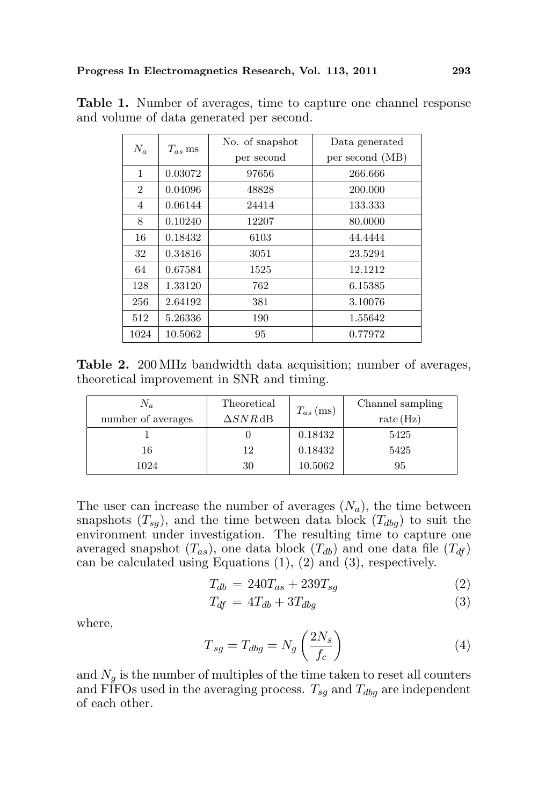| $N_a$          | $T_{as}$ ms | No. of snapshot | Data generated  |
|----------------|-------------|-----------------|-----------------|
|                |             | per second      | per second (MB) |
| 1              | 0.03072     | 97656           | 266.666         |
| $\overline{2}$ | 0.04096     | 48828           | 200.000         |
| 4              | 0.06144     | 24414           | 133.333         |
| 8              | 0.10240     | 12207           | 80.0000         |
| 16             | 0.18432     | 6103            | 44.4444         |
| 32             | 0.34816     | 3051            | 23.5294         |
| 64             | 0.67584     | 1525            | 12.1212         |
| 128            | 1.33120     | 762             | 6.15385         |
| 256            | 2.64192     | 381             | 3.10076         |
| 512            | 5.26336     | 190             | 1.55642         |
| 1024           | 10.5062     | 95              | 0.77972         |

Table 1. Number of averages, time to capture one channel response and volume of data generated per second.

Table 2. 200 MHz bandwidth data acquisition; number of averages, theoretical improvement in SNR and timing.

| $N_a$              | Theoretical     | $T_{as}$ (ms) | Channel sampling |
|--------------------|-----------------|---------------|------------------|
| number of averages | $\Delta SNR$ dB |               | rate(Hz)         |
|                    |                 | 0.18432       | 5425             |
| 16                 | 12              | 0.18432       | 5425             |
| 1024               | 30              | 10.5062       | 95               |

The user can increase the number of averages  $(N_a)$ , the time between snapshots  $(T_{sq})$ , and the time between data block  $(T_{dbq})$  to suit the environment under investigation. The resulting time to capture one averaged snapshot  $(T_{as})$ , one data block  $(T_{db})$  and one data file  $(T_{df})$ can be calculated using Equations (1), (2) and (3), respectively.

$$
T_{db} = 240T_{as} + 239T_{sg} \tag{2}
$$

$$
T_{df} = 4T_{db} + 3T_{dbg} \tag{3}
$$

where,

$$
T_{sg} = T_{dbg} = N_g \left(\frac{2N_s}{f_c}\right) \tag{4}
$$

and  $N_q$  is the number of multiples of the time taken to reset all counters and FIFOs used in the averaging process.  $T_{sg}$  and  $T_{dbg}$  are independent of each other.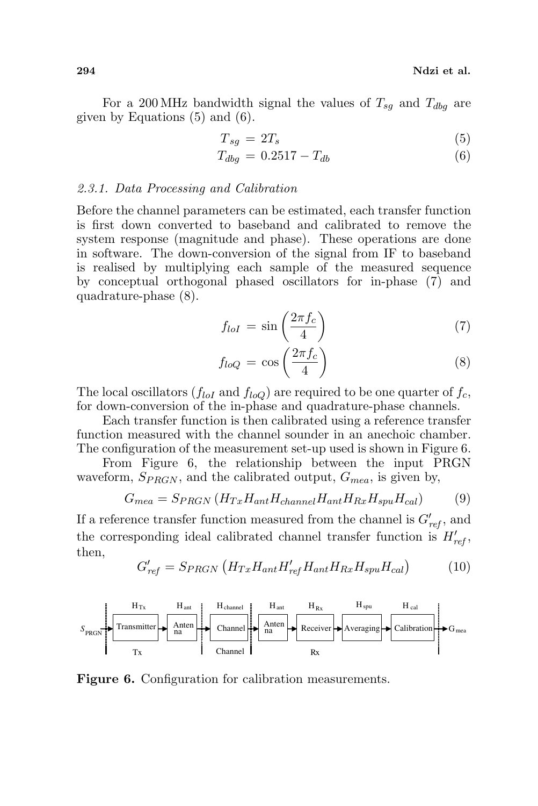For a 200 MHz bandwidth signal the values of  $T_{sq}$  and  $T_{dbg}$  are given by Equations (5) and (6).

$$
T_{sg} = 2T_s \tag{5}
$$

$$
T_{dbg} = 0.2517 - T_{db} \tag{6}
$$

#### 2.3.1. Data Processing and Calibration

Before the channel parameters can be estimated, each transfer function is first down converted to baseband and calibrated to remove the system response (magnitude and phase). These operations are done in software. The down-conversion of the signal from IF to baseband is realised by multiplying each sample of the measured sequence by conceptual orthogonal phased oscillators for in-phase (7) and quadrature-phase (8).  $\mathbf{r}$ 

$$
f_{loI} = \sin\left(\frac{2\pi f_c}{4}\right) \tag{7}
$$

$$
f_{loQ} = \cos\left(\frac{2\pi f_c}{4}\right) \tag{8}
$$

The local oscillators  $(f_{loI}$  and  $f_{loO})$  are required to be one quarter of  $f_c$ , for down-conversion of the in-phase and quadrature-phase channels.

Each transfer function is then calibrated using a reference transfer function measured with the channel sounder in an anechoic chamber. The configuration of the measurement set-up used is shown in Figure 6.

From Figure 6, the relationship between the input PRGN waveform,  $S_{PRGN}$ , and the calibrated output,  $G_{mea}$ , is given by,

$$
G_{mea} = S_{PRGN} \left( H_{Tx} H_{ant} H_{channel} H_{ant} H_{Rx} H_{spu} H_{cal} \right) \tag{9}
$$

If a reference transfer function measured from the channel is  $G'_{ref}$ , and the corresponding ideal calibrated channel transfer function is  $H'_{ref}$ , then,

$$
G'_{ref} = S_{PRGN} \left( H_{Tx} H_{ant} H'_{ref} H_{ant} H_{Rx} H_{spu} H_{cal} \right) \tag{10}
$$



Figure 6. Configuration for calibration measurements.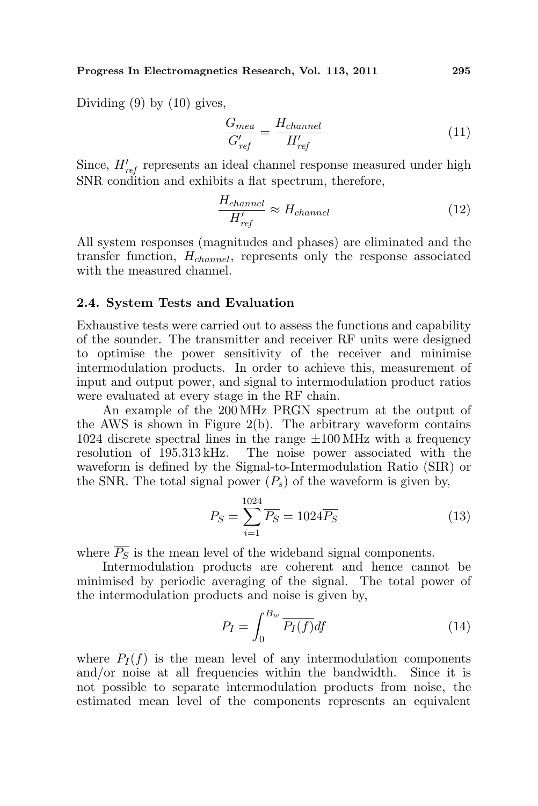Dividing  $(9)$  by  $(10)$  gives,

$$
\frac{G_{mea}}{G'_{ref}} = \frac{H_{channel}}{H'_{ref}}\tag{11}
$$

Since,  $H'_{ref}$  represents an ideal channel response measured under high SNR condition and exhibits a flat spectrum, therefore,

$$
\frac{H_{channel}}{H'_{ref}} \approx H_{channel} \tag{12}
$$

All system responses (magnitudes and phases) are eliminated and the transfer function,  $H_{channel}$ , represents only the response associated with the measured channel.

#### 2.4. System Tests and Evaluation

Exhaustive tests were carried out to assess the functions and capability of the sounder. The transmitter and receiver RF units were designed to optimise the power sensitivity of the receiver and minimise intermodulation products. In order to achieve this, measurement of input and output power, and signal to intermodulation product ratios were evaluated at every stage in the RF chain.

An example of the 200 MHz PRGN spectrum at the output of the AWS is shown in Figure 2(b). The arbitrary waveform contains 1024 discrete spectral lines in the range  $\pm 100 \text{ MHz}$  with a frequency resolution of 195.313 kHz. The noise power associated with the waveform is defined by the Signal-to-Intermodulation Ratio (SIR) or the SNR. The total signal power  $(P_s)$  of the waveform is given by,

$$
P_S = \sum_{i=1}^{1024} \overline{P_S} = 1024 \overline{P_S}
$$
 (13)

where  $\overline{P_S}$  is the mean level of the wideband signal components.

Intermodulation products are coherent and hence cannot be minimised by periodic averaging of the signal. The total power of the intermodulation products and noise is given by,

$$
P_I = \int_0^{B_w} \overline{P_I(f)} df \tag{14}
$$

where  $\overline{P_I(f)}$  is the mean level of any intermodulation components and/or noise at all frequencies within the bandwidth. Since it is not possible to separate intermodulation products from noise, the estimated mean level of the components represents an equivalent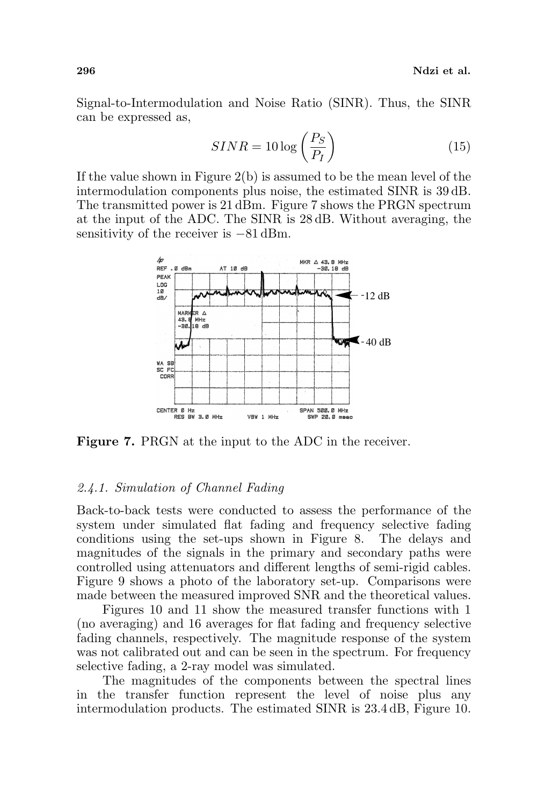Signal-to-Intermodulation and Noise Ratio (SINR). Thus, the SINR can be expressed as,

$$
SINR = 10 \log \left(\frac{P_S}{P_I}\right) \tag{15}
$$

If the value shown in Figure  $2(b)$  is assumed to be the mean level of the intermodulation components plus noise, the estimated SINR is 39 dB. The transmitted power is 21 dBm. Figure 7 shows the PRGN spectrum at the input of the ADC. The SINR is 28 dB. Without averaging, the sensitivity of the receiver is  $-81$  dBm.



Figure 7. PRGN at the input to the ADC in the receiver.

### 2.4.1. Simulation of Channel Fading

Back-to-back tests were conducted to assess the performance of the system under simulated flat fading and frequency selective fading conditions using the set-ups shown in Figure 8. The delays and magnitudes of the signals in the primary and secondary paths were controlled using attenuators and different lengths of semi-rigid cables. Figure 9 shows a photo of the laboratory set-up. Comparisons were made between the measured improved SNR and the theoretical values.

Figures 10 and 11 show the measured transfer functions with 1 (no averaging) and 16 averages for flat fading and frequency selective fading channels, respectively. The magnitude response of the system was not calibrated out and can be seen in the spectrum. For frequency selective fading, a 2-ray model was simulated.

The magnitudes of the components between the spectral lines in the transfer function represent the level of noise plus any intermodulation products. The estimated SINR is 23.4 dB, Figure 10.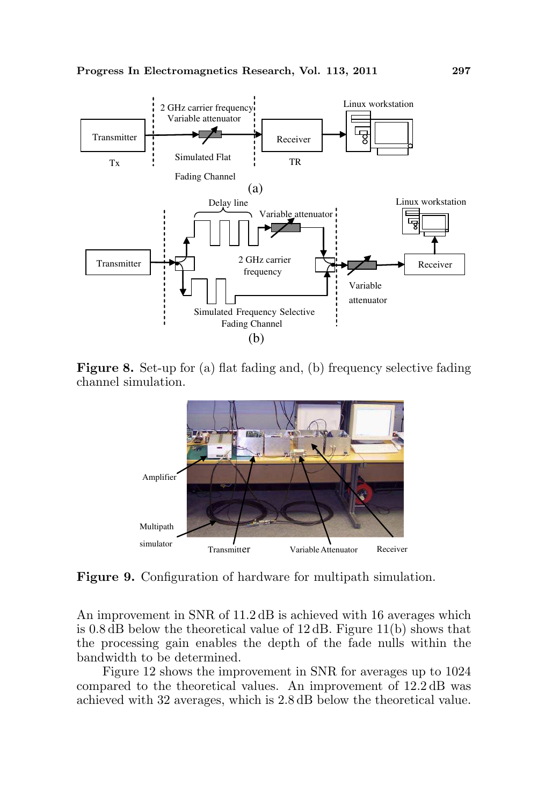

Figure 8. Set-up for (a) flat fading and, (b) frequency selective fading channel simulation.



Figure 9. Configuration of hardware for multipath simulation.

An improvement in SNR of  $11.2 \text{ dB}$  is achieved with 16 averages which is 0.8 dB below the theoretical value of 12 dB. Figure 11(b) shows that the processing gain enables the depth of the fade nulls within the bandwidth to be determined.

Figure 12 shows the improvement in SNR for averages up to 1024 compared to the theoretical values. An improvement of 12.2 dB was achieved with 32 averages, which is 2.8 dB below the theoretical value.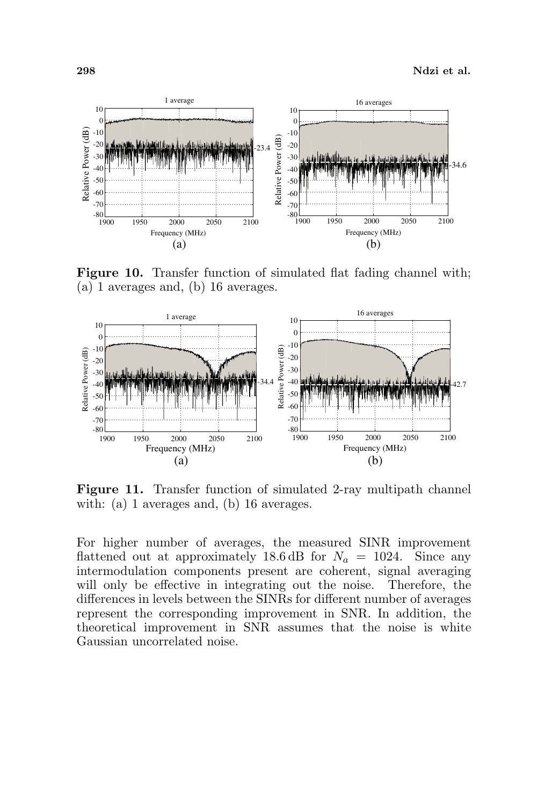

Figure 10. Transfer function of simulated flat fading channel with; (a) 1 averages and, (b) 16 averages.



Figure 11. Transfer function of simulated 2-ray multipath channel with: (a) 1 averages and, (b) 16 averages.

For higher number of averages, the measured SINR improvement flattened out at approximately 18.6 dB for  $N_a = 1024$ . Since any intermodulation components present are coherent, signal averaging will only be effective in integrating out the noise. Therefore, the differences in levels between the SINRs for different number of averages represent the corresponding improvement in SNR. In addition, the theoretical improvement in SNR assumes that the noise is white Gaussian uncorrelated noise.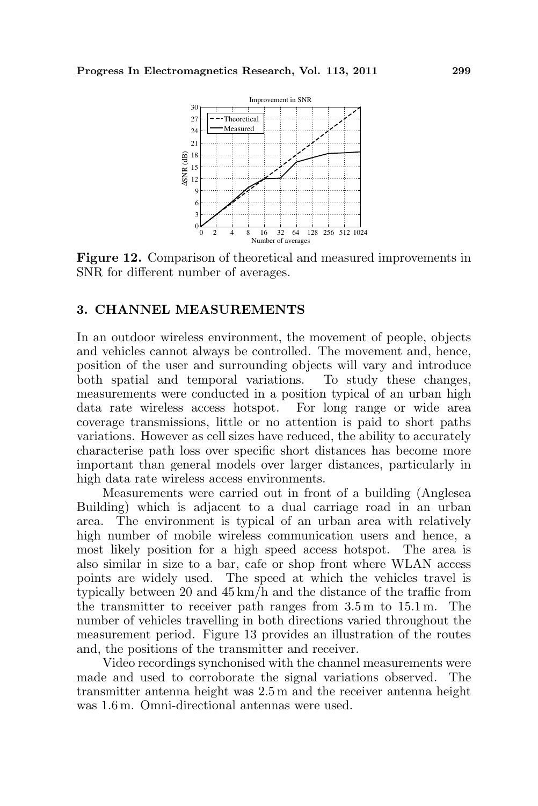

Figure 12. Comparison of theoretical and measured improvements in SNR for different number of averages.

## 3. CHANNEL MEASUREMENTS

In an outdoor wireless environment, the movement of people, objects and vehicles cannot always be controlled. The movement and, hence, position of the user and surrounding objects will vary and introduce both spatial and temporal variations. To study these changes, measurements were conducted in a position typical of an urban high data rate wireless access hotspot. For long range or wide area coverage transmissions, little or no attention is paid to short paths variations. However as cell sizes have reduced, the ability to accurately characterise path loss over specific short distances has become more important than general models over larger distances, particularly in high data rate wireless access environments.

Measurements were carried out in front of a building (Anglesea Building) which is adjacent to a dual carriage road in an urban area. The environment is typical of an urban area with relatively high number of mobile wireless communication users and hence, a most likely position for a high speed access hotspot. The area is also similar in size to a bar, cafe or shop front where WLAN access points are widely used. The speed at which the vehicles travel is typically between 20 and 45 km/h and the distance of the traffic from the transmitter to receiver path ranges from 3.5 m to 15.1 m. The number of vehicles travelling in both directions varied throughout the measurement period. Figure 13 provides an illustration of the routes and, the positions of the transmitter and receiver.

Video recordings synchonised with the channel measurements were made and used to corroborate the signal variations observed. The transmitter antenna height was 2.5 m and the receiver antenna height was 1.6 m. Omni-directional antennas were used.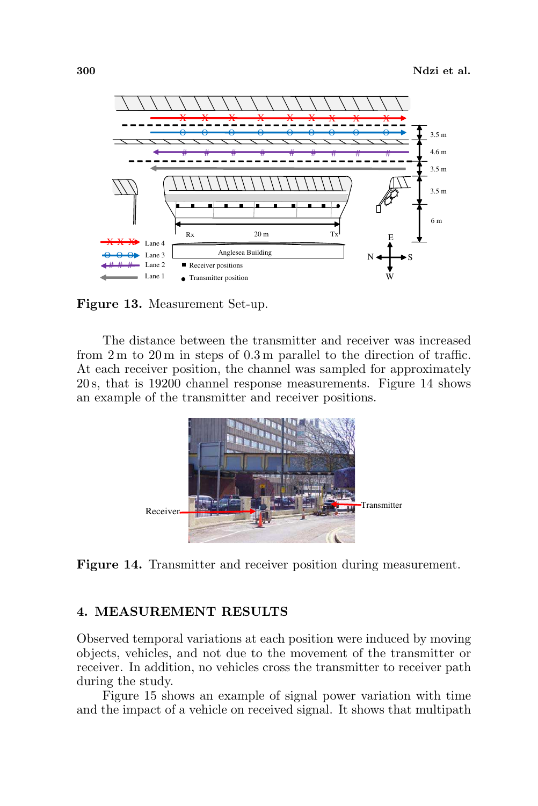

Figure 13. Measurement Set-up.

The distance between the transmitter and receiver was increased from 2 m to 20 m in steps of 0.3 m parallel to the direction of traffic. At each receiver position, the channel was sampled for approximately 20 s, that is 19200 channel response measurements. Figure 14 shows an example of the transmitter and receiver positions.



Figure 14. Transmitter and receiver position during measurement.

## 4. MEASUREMENT RESULTS

Observed temporal variations at each position were induced by moving objects, vehicles, and not due to the movement of the transmitter or receiver. In addition, no vehicles cross the transmitter to receiver path during the study.

Figure 15 shows an example of signal power variation with time and the impact of a vehicle on received signal. It shows that multipath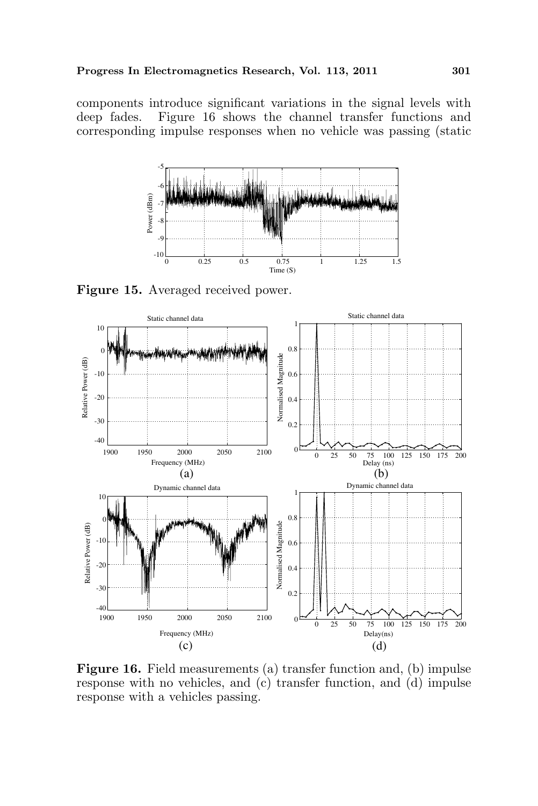components introduce significant variations in the signal levels with deep fades. Figure 16 shows the channel transfer functions and corresponding impulse responses when no vehicle was passing (static



Figure 15. Averaged received power.



Figure 16. Field measurements (a) transfer function and, (b) impulse response with no vehicles, and (c) transfer function, and (d) impulse response with a vehicles passing.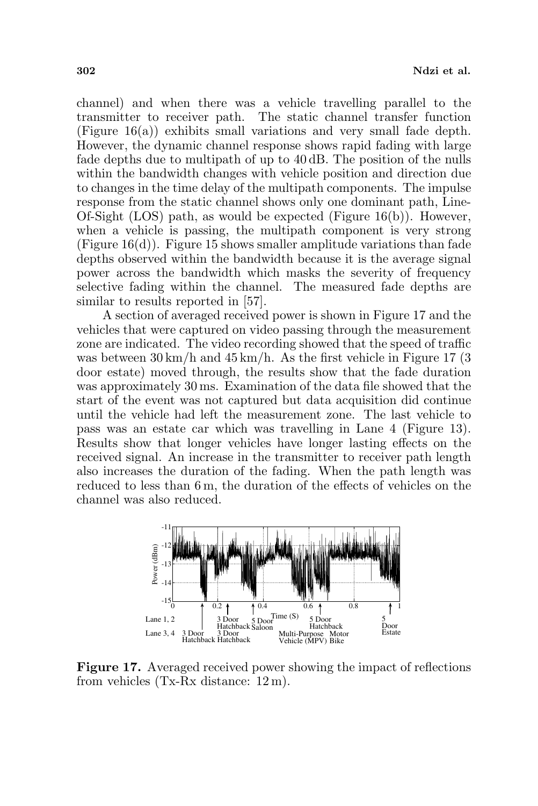channel) and when there was a vehicle travelling parallel to the transmitter to receiver path. The static channel transfer function (Figure 16(a)) exhibits small variations and very small fade depth. However, the dynamic channel response shows rapid fading with large fade depths due to multipath of up to 40 dB. The position of the nulls within the bandwidth changes with vehicle position and direction due to changes in the time delay of the multipath components. The impulse response from the static channel shows only one dominant path, Line-Of-Sight (LOS) path, as would be expected (Figure 16(b)). However, when a vehicle is passing, the multipath component is very strong  $(Figure 16(d))$ . Figure 15 shows smaller amplitude variations than fade depths observed within the bandwidth because it is the average signal power across the bandwidth which masks the severity of frequency selective fading within the channel. The measured fade depths are similar to results reported in [57].

A section of averaged received power is shown in Figure 17 and the vehicles that were captured on video passing through the measurement zone are indicated. The video recording showed that the speed of traffic was between  $30 \text{ km/h}$  and  $45 \text{ km/h}$ . As the first vehicle in Figure 17 (3) door estate) moved through, the results show that the fade duration was approximately 30 ms. Examination of the data file showed that the start of the event was not captured but data acquisition did continue until the vehicle had left the measurement zone. The last vehicle to pass was an estate car which was travelling in Lane 4 (Figure 13). Results show that longer vehicles have longer lasting effects on the received signal. An increase in the transmitter to receiver path length also increases the duration of the fading. When the path length was reduced to less than 6 m, the duration of the effects of vehicles on the channel was also reduced.



Figure 17. Averaged received power showing the impact of reflections from vehicles (Tx-Rx distance: 12 m).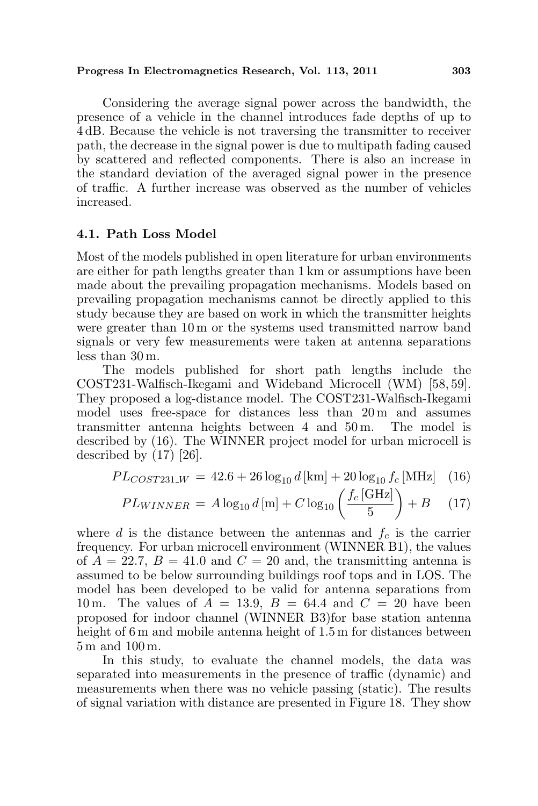### Progress In Electromagnetics Research, Vol. 113, 2011 303

Considering the average signal power across the bandwidth, the presence of a vehicle in the channel introduces fade depths of up to 4 dB. Because the vehicle is not traversing the transmitter to receiver path, the decrease in the signal power is due to multipath fading caused by scattered and reflected components. There is also an increase in the standard deviation of the averaged signal power in the presence of traffic. A further increase was observed as the number of vehicles increased.

## 4.1. Path Loss Model

Most of the models published in open literature for urban environments are either for path lengths greater than 1 km or assumptions have been made about the prevailing propagation mechanisms. Models based on prevailing propagation mechanisms cannot be directly applied to this study because they are based on work in which the transmitter heights were greater than 10 m or the systems used transmitted narrow band signals or very few measurements were taken at antenna separations less than 30 m.

The models published for short path lengths include the COST231-Walfisch-Ikegami and Wideband Microcell (WM) [58, 59]. They proposed a log-distance model. The COST231-Walfisch-Ikegami model uses free-space for distances less than 20 m and assumes transmitter antenna heights between 4 and 50 m. The model is described by (16). The WINNER project model for urban microcell is described by (17) [26].

$$
PL_{COST231\text{.}W} = 42.6 + 26 \log_{10} d \text{ [km]} + 20 \log_{10} f_c \text{ [MHz]} \quad (16)
$$

$$
PL_{WINNER} = A \log_{10} d \text{ [m]} + C \log_{10} \left( \frac{f_c \text{ [GHz]}}{5} \right) + B \quad (17)
$$

where d is the distance between the antennas and  $f_c$  is the carrier frequency. For urban microcell environment (WINNER B1), the values of  $A = 22.7$ ,  $B = 41.0$  and  $C = 20$  and, the transmitting antenna is assumed to be below surrounding buildings roof tops and in LOS. The model has been developed to be valid for antenna separations from 10 m. The values of  $A = 13.9$ ,  $B = 64.4$  and  $C = 20$  have been proposed for indoor channel (WINNER B3)for base station antenna height of 6 m and mobile antenna height of 1.5 m for distances between 5 m and 100 m.

In this study, to evaluate the channel models, the data was separated into measurements in the presence of traffic (dynamic) and measurements when there was no vehicle passing (static). The results of signal variation with distance are presented in Figure 18. They show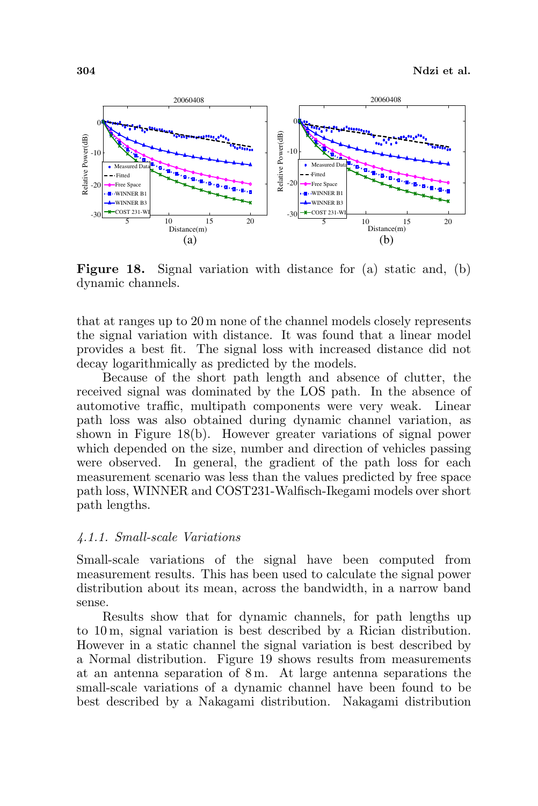

Figure 18. Signal variation with distance for (a) static and, (b) dynamic channels.

that at ranges up to 20 m none of the channel models closely represents the signal variation with distance. It was found that a linear model provides a best fit. The signal loss with increased distance did not decay logarithmically as predicted by the models.

Because of the short path length and absence of clutter, the received signal was dominated by the LOS path. In the absence of automotive traffic, multipath components were very weak. Linear path loss was also obtained during dynamic channel variation, as shown in Figure 18(b). However greater variations of signal power which depended on the size, number and direction of vehicles passing were observed. In general, the gradient of the path loss for each measurement scenario was less than the values predicted by free space path loss, WINNER and COST231-Walfisch-Ikegami models over short path lengths.

#### 4.1.1. Small-scale Variations

Small-scale variations of the signal have been computed from measurement results. This has been used to calculate the signal power distribution about its mean, across the bandwidth, in a narrow band sense.

Results show that for dynamic channels, for path lengths up to 10 m, signal variation is best described by a Rician distribution. However in a static channel the signal variation is best described by a Normal distribution. Figure 19 shows results from measurements at an antenna separation of 8 m. At large antenna separations the small-scale variations of a dynamic channel have been found to be best described by a Nakagami distribution. Nakagami distribution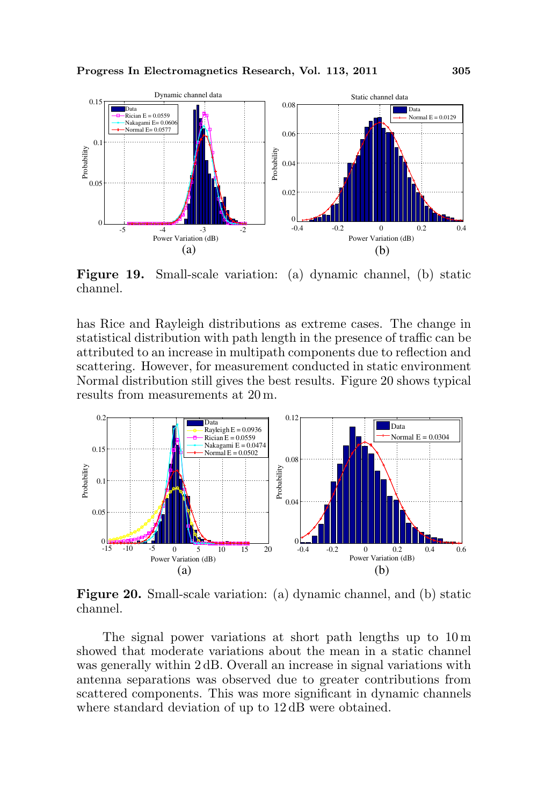

Figure 19. Small-scale variation: (a) dynamic channel, (b) static channel.

has Rice and Rayleigh distributions as extreme cases. The change in statistical distribution with path length in the presence of traffic can be attributed to an increase in multipath components due to reflection and scattering. However, for measurement conducted in static environment Normal distribution still gives the best results. Figure 20 shows typical results from measurements at 20 m.



Figure 20. Small-scale variation: (a) dynamic channel, and (b) static channel.

The signal power variations at short path lengths up to 10 m showed that moderate variations about the mean in a static channel was generally within 2 dB. Overall an increase in signal variations with antenna separations was observed due to greater contributions from scattered components. This was more significant in dynamic channels where standard deviation of up to  $12 \text{ dB}$  were obtained.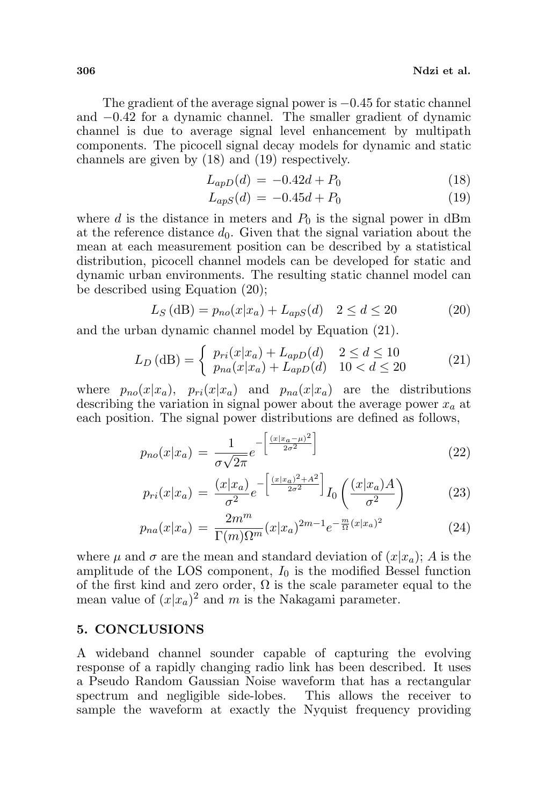The gradient of the average signal power is −0.45 for static channel and −0.42 for a dynamic channel. The smaller gradient of dynamic channel is due to average signal level enhancement by multipath components. The picocell signal decay models for dynamic and static channels are given by (18) and (19) respectively.

$$
L_{apD}(d) = -0.42d + P_0 \tag{18}
$$

$$
L_{apS}(d) = -0.45d + P_0 \tag{19}
$$

where d is the distance in meters and  $P_0$  is the signal power in dBm at the reference distance  $d_0$ . Given that the signal variation about the mean at each measurement position can be described by a statistical distribution, picocell channel models can be developed for static and dynamic urban environments. The resulting static channel model can be described using Equation (20);

$$
L_S(dB) = p_{no}(x|x_a) + L_{aps}(d) \quad 2 \le d \le 20
$$
 (20)

and the urban dynamic channel model by Equation (21).

$$
L_D(\text{dB}) = \begin{cases} p_{ri}(x|x_a) + L_{apD}(d) & 2 \le d \le 10\\ p_{na}(x|x_a) + L_{apD}(d) & 10 < d \le 20 \end{cases}
$$
 (21)

where  $p_{no}(x|x_a)$ ,  $p_{ri}(x|x_a)$  and  $p_{na}(x|x_a)$  are the distributions describing the variation in signal power about the average power  $x_a$  at each position. The signal power distributions are defined as follows,

$$
p_{no}(x|x_a) = \frac{1}{\sigma\sqrt{2\pi}}e^{-\left[\frac{(x|x_a-\mu)^2}{2\sigma^2}\right]}
$$
(22)

$$
p_{ri}(x|x_a) = \frac{(x|x_a)}{\sigma^2} e^{-\left[\frac{(x|x_a)^2 + A^2}{2\sigma^2}\right]} I_0\left(\frac{(x|x_a)A}{\sigma^2}\right)
$$
 (23)

$$
p_{na}(x|x_a) = \frac{2m^m}{\Gamma(m)\Omega^m}(x|x_a)^{2m-1}e^{-\frac{m}{\Omega}(x|x_a)^2}
$$
\n(24)

where  $\mu$  and  $\sigma$  are the mean and standard deviation of  $(x|x_a)$ ; A is the amplitude of the LOS component,  $I_0$  is the modified Bessel function of the first kind and zero order,  $\Omega$  is the scale parameter equal to the mean value of  $(x|x_a)^2$  and m is the Nakagami parameter.

### 5. CONCLUSIONS

A wideband channel sounder capable of capturing the evolving response of a rapidly changing radio link has been described. It uses a Pseudo Random Gaussian Noise waveform that has a rectangular spectrum and negligible side-lobes. This allows the receiver to sample the waveform at exactly the Nyquist frequency providing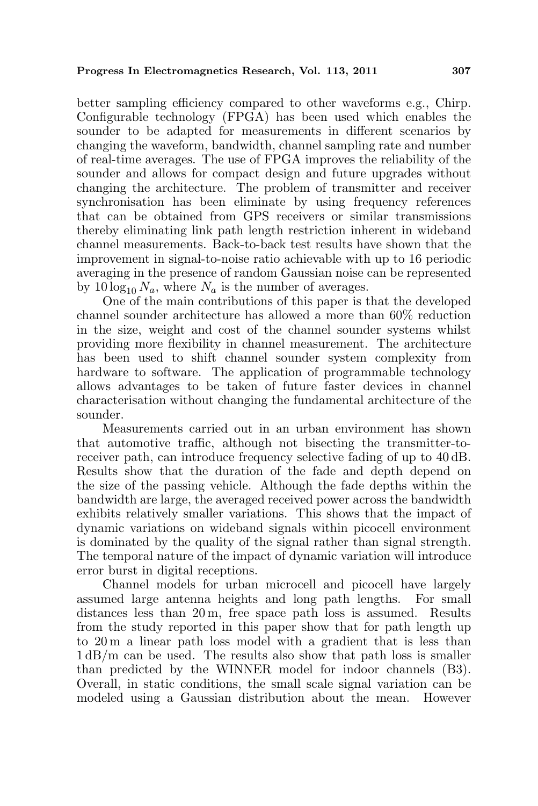better sampling efficiency compared to other waveforms e.g., Chirp. Configurable technology (FPGA) has been used which enables the sounder to be adapted for measurements in different scenarios by changing the waveform, bandwidth, channel sampling rate and number of real-time averages. The use of FPGA improves the reliability of the sounder and allows for compact design and future upgrades without changing the architecture. The problem of transmitter and receiver synchronisation has been eliminate by using frequency references that can be obtained from GPS receivers or similar transmissions thereby eliminating link path length restriction inherent in wideband channel measurements. Back-to-back test results have shown that the improvement in signal-to-noise ratio achievable with up to 16 periodic averaging in the presence of random Gaussian noise can be represented by  $10 \log_{10} N_a$ , where  $N_a$  is the number of averages.

One of the main contributions of this paper is that the developed channel sounder architecture has allowed a more than 60% reduction in the size, weight and cost of the channel sounder systems whilst providing more flexibility in channel measurement. The architecture has been used to shift channel sounder system complexity from hardware to software. The application of programmable technology allows advantages to be taken of future faster devices in channel characterisation without changing the fundamental architecture of the sounder.

Measurements carried out in an urban environment has shown that automotive traffic, although not bisecting the transmitter-toreceiver path, can introduce frequency selective fading of up to 40 dB. Results show that the duration of the fade and depth depend on the size of the passing vehicle. Although the fade depths within the bandwidth are large, the averaged received power across the bandwidth exhibits relatively smaller variations. This shows that the impact of dynamic variations on wideband signals within picocell environment is dominated by the quality of the signal rather than signal strength. The temporal nature of the impact of dynamic variation will introduce error burst in digital receptions.

Channel models for urban microcell and picocell have largely assumed large antenna heights and long path lengths. For small distances less than 20 m, free space path loss is assumed. Results from the study reported in this paper show that for path length up to 20 m a linear path loss model with a gradient that is less than 1 dB/m can be used. The results also show that path loss is smaller than predicted by the WINNER model for indoor channels (B3). Overall, in static conditions, the small scale signal variation can be modeled using a Gaussian distribution about the mean. However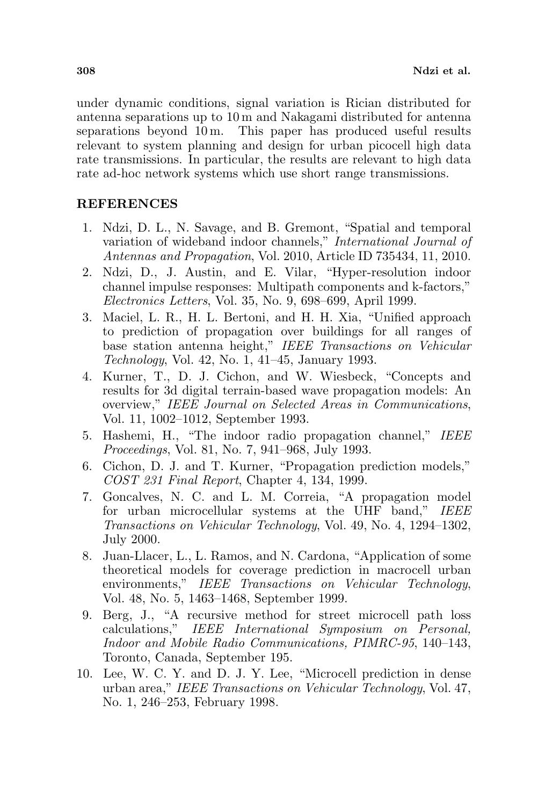under dynamic conditions, signal variation is Rician distributed for antenna separations up to 10 m and Nakagami distributed for antenna separations beyond 10 m. This paper has produced useful results relevant to system planning and design for urban picocell high data rate transmissions. In particular, the results are relevant to high data rate ad-hoc network systems which use short range transmissions.

## REFERENCES

- 1. Ndzi, D. L., N. Savage, and B. Gremont, "Spatial and temporal variation of wideband indoor channels," International Journal of Antennas and Propagation, Vol. 2010, Article ID 735434, 11, 2010.
- 2. Ndzi, D., J. Austin, and E. Vilar, "Hyper-resolution indoor channel impulse responses: Multipath components and k-factors," Electronics Letters, Vol. 35, No. 9, 698–699, April 1999.
- 3. Maciel, L. R., H. L. Bertoni, and H. H. Xia, "Unified approach to prediction of propagation over buildings for all ranges of base station antenna height," IEEE Transactions on Vehicular Technology, Vol. 42, No. 1, 41–45, January 1993.
- 4. Kurner, T., D. J. Cichon, and W. Wiesbeck, "Concepts and results for 3d digital terrain-based wave propagation models: An overview," IEEE Journal on Selected Areas in Communications, Vol. 11, 1002–1012, September 1993.
- 5. Hashemi, H., "The indoor radio propagation channel," IEEE Proceedings, Vol. 81, No. 7, 941–968, July 1993.
- 6. Cichon, D. J. and T. Kurner, "Propagation prediction models," COST 231 Final Report, Chapter 4, 134, 1999.
- 7. Goncalves, N. C. and L. M. Correia, "A propagation model for urban microcellular systems at the UHF band," IEEE Transactions on Vehicular Technology, Vol. 49, No. 4, 1294–1302, July 2000.
- 8. Juan-Llacer, L., L. Ramos, and N. Cardona, "Application of some theoretical models for coverage prediction in macrocell urban environments," IEEE Transactions on Vehicular Technology, Vol. 48, No. 5, 1463–1468, September 1999.
- 9. Berg, J., "A recursive method for street microcell path loss calculations," IEEE International Symposium on Personal, Indoor and Mobile Radio Communications, PIMRC-95, 140–143, Toronto, Canada, September 195.
- 10. Lee, W. C. Y. and D. J. Y. Lee, "Microcell prediction in dense urban area," IEEE Transactions on Vehicular Technology, Vol. 47, No. 1, 246–253, February 1998.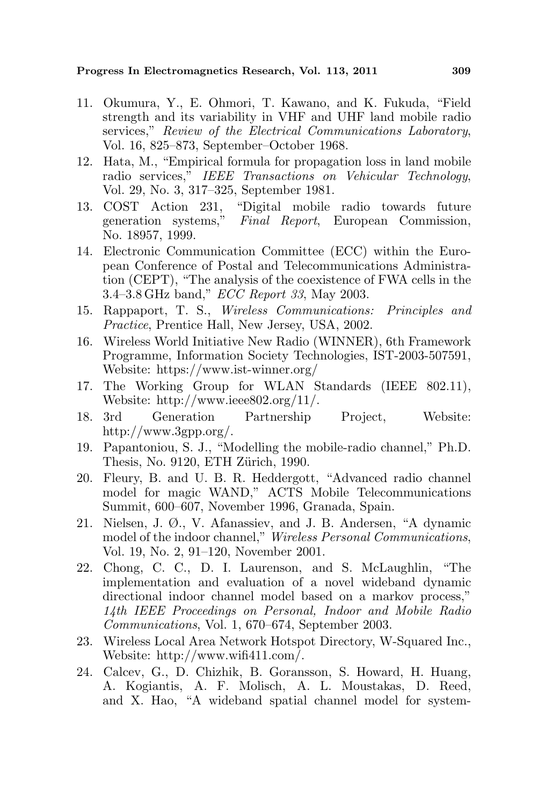### Progress In Electromagnetics Research, Vol. 113, 2011 309

- 11. Okumura, Y., E. Ohmori, T. Kawano, and K. Fukuda, "Field strength and its variability in VHF and UHF land mobile radio services," Review of the Electrical Communications Laboratory, Vol. 16, 825–873, September–October 1968.
- 12. Hata, M., "Empirical formula for propagation loss in land mobile radio services," IEEE Transactions on Vehicular Technology, Vol. 29, No. 3, 317–325, September 1981.
- 13. COST Action 231, "Digital mobile radio towards future generation systems," Final Report, European Commission, No. 18957, 1999.
- 14. Electronic Communication Committee (ECC) within the European Conference of Postal and Telecommunications Administration (CEPT), "The analysis of the coexistence of FWA cells in the 3.4–3.8 GHz band," ECC Report 33, May 2003.
- 15. Rappaport, T. S., Wireless Communications: Principles and Practice, Prentice Hall, New Jersey, USA, 2002.
- 16. Wireless World Initiative New Radio (WINNER), 6th Framework Programme, Information Society Technologies, IST-2003-507591, Website: https://www.ist-winner.org/
- 17. The Working Group for WLAN Standards (IEEE 802.11), Website: http://www.ieee802.org/11/.
- 18. 3rd Generation Partnership Project, Website: http://www.3gpp.org/.
- 19. Papantoniou, S. J., "Modelling the mobile-radio channel," Ph.D. Thesis, No. 9120, ETH Zürich, 1990.
- 20. Fleury, B. and U. B. R. Heddergott, "Advanced radio channel model for magic WAND," ACTS Mobile Telecommunications Summit, 600–607, November 1996, Granada, Spain.
- 21. Nielsen, J. Ø., V. Afanassiev, and J. B. Andersen, "A dynamic model of the indoor channel," Wireless Personal Communications, Vol. 19, No. 2, 91–120, November 2001.
- 22. Chong, C. C., D. I. Laurenson, and S. McLaughlin, "The implementation and evaluation of a novel wideband dynamic directional indoor channel model based on a markov process," 14th IEEE Proceedings on Personal, Indoor and Mobile Radio Communications, Vol. 1, 670–674, September 2003.
- 23. Wireless Local Area Network Hotspot Directory, W-Squared Inc., Website: http://www.wifi411.com/.
- 24. Calcev, G., D. Chizhik, B. Goransson, S. Howard, H. Huang, A. Kogiantis, A. F. Molisch, A. L. Moustakas, D. Reed, and X. Hao, "A wideband spatial channel model for system-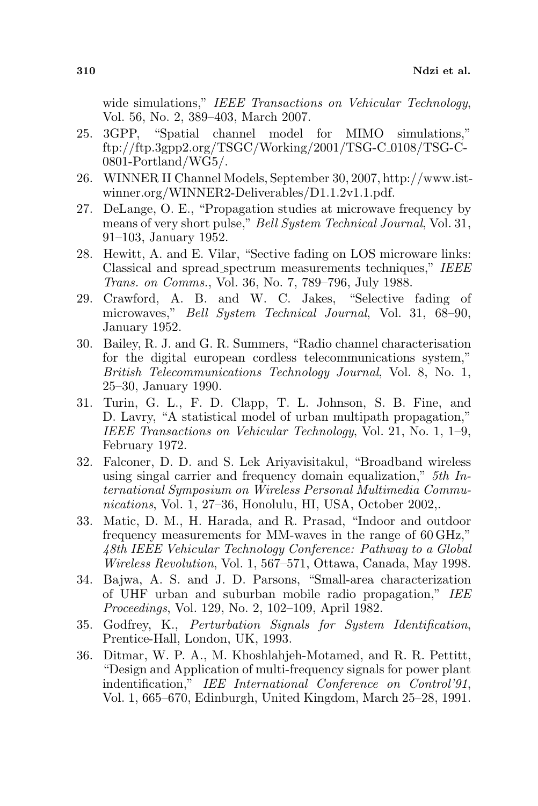wide simulations," IEEE Transactions on Vehicular Technology, Vol. 56, No. 2, 389–403, March 2007.

- 25. 3GPP, "Spatial channel model for MIMO simulations,"  $ftp://ftp.3gpp2.org/TSGC/Working/2001/TSG-C_0108/TSG-C-$ 0801-Portland/WG5/.
- 26. WINNER II Channel Models, September 30, 2007, http://www.istwinner.org/WINNER2-Deliverables/D1.1.2v1.1.pdf.
- 27. DeLange, O. E., "Propagation studies at microwave frequency by means of very short pulse," Bell System Technical Journal, Vol. 31, 91–103, January 1952.
- 28. Hewitt, A. and E. Vilar, "Sective fading on LOS microware links: Classical and spread spectrum measurements techniques," IEEE Trans. on Comms., Vol. 36, No. 7, 789–796, July 1988.
- 29. Crawford, A. B. and W. C. Jakes, "Selective fading of microwaves," Bell System Technical Journal, Vol. 31, 68–90, January 1952.
- 30. Bailey, R. J. and G. R. Summers, "Radio channel characterisation for the digital european cordless telecommunications system," British Telecommunications Technology Journal, Vol. 8, No. 1, 25–30, January 1990.
- 31. Turin, G. L., F. D. Clapp, T. L. Johnson, S. B. Fine, and D. Lavry, "A statistical model of urban multipath propagation," IEEE Transactions on Vehicular Technology, Vol. 21, No. 1, 1–9, February 1972.
- 32. Falconer, D. D. and S. Lek Ariyavisitakul, "Broadband wireless using singal carrier and frequency domain equalization," 5th International Symposium on Wireless Personal Multimedia Communications, Vol. 1, 27–36, Honolulu, HI, USA, October 2002,.
- 33. Matic, D. M., H. Harada, and R. Prasad, "Indoor and outdoor frequency measurements for MM-waves in the range of 60 GHz," 48th IEEE Vehicular Technology Conference: Pathway to a Global Wireless Revolution, Vol. 1, 567–571, Ottawa, Canada, May 1998.
- 34. Bajwa, A. S. and J. D. Parsons, "Small-area characterization of UHF urban and suburban mobile radio propagation," IEE Proceedings, Vol. 129, No. 2, 102–109, April 1982.
- 35. Godfrey, K., Perturbation Signals for System Identification, Prentice-Hall, London, UK, 1993.
- 36. Ditmar, W. P. A., M. Khoshlahjeh-Motamed, and R. R. Pettitt, "Design and Application of multi-frequency signals for power plant indentification," IEE International Conference on Control'91, Vol. 1, 665–670, Edinburgh, United Kingdom, March 25–28, 1991.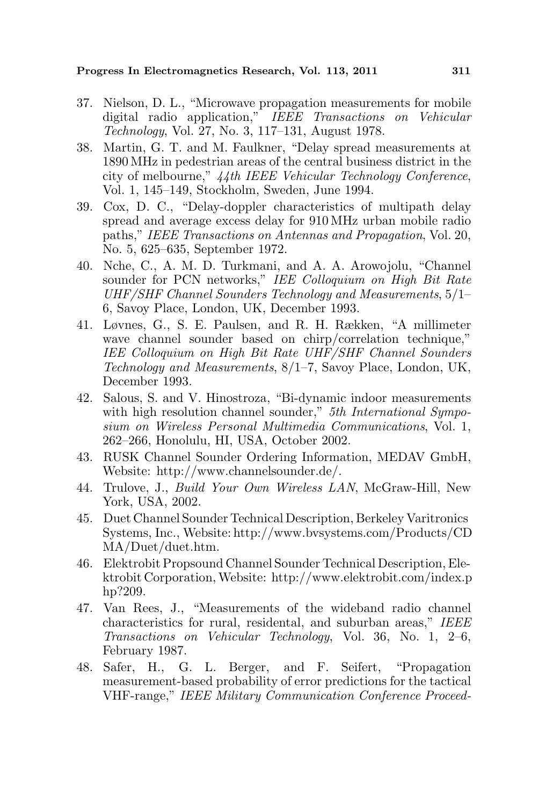Progress In Electromagnetics Research, Vol. 113, 2011 311

- 37. Nielson, D. L., "Microwave propagation measurements for mobile digital radio application," IEEE Transactions on Vehicular Technology, Vol. 27, No. 3, 117–131, August 1978.
- 38. Martin, G. T. and M. Faulkner, "Delay spread measurements at 1890 MHz in pedestrian areas of the central business district in the city of melbourne," 44th IEEE Vehicular Technology Conference, Vol. 1, 145–149, Stockholm, Sweden, June 1994.
- 39. Cox, D. C., "Delay-doppler characteristics of multipath delay spread and average excess delay for 910 MHz urban mobile radio paths," IEEE Transactions on Antennas and Propagation, Vol. 20, No. 5, 625–635, September 1972.
- 40. Nche, C., A. M. D. Turkmani, and A. A. Arowojolu, "Channel sounder for PCN networks," IEE Colloquium on High Bit Rate UHF/SHF Channel Sounders Technology and Measurements, 5/1– 6, Savoy Place, London, UK, December 1993.
- 41. Løvnes, G., S. E. Paulsen, and R. H. Rækken, "A millimeter wave channel sounder based on chirp/correlation technique," IEE Colloquium on High Bit Rate UHF/SHF Channel Sounders Technology and Measurements, 8/1–7, Savoy Place, London, UK, December 1993.
- 42. Salous, S. and V. Hinostroza, "Bi-dynamic indoor measurements with high resolution channel sounder," 5th International Symposium on Wireless Personal Multimedia Communications, Vol. 1, 262–266, Honolulu, HI, USA, October 2002.
- 43. RUSK Channel Sounder Ordering Information, MEDAV GmbH, Website: http://www.channelsounder.de/.
- 44. Trulove, J., Build Your Own Wireless LAN, McGraw-Hill, New York, USA, 2002.
- 45. Duet Channel Sounder Technical Description, Berkeley Varitronics Systems, Inc., Website: http://www.bvsystems.com/Products/CD MA/Duet/duet.htm.
- 46. Elektrobit Propsound Channel Sounder Technical Description, Elektrobit Corporation,Website: http://www.elektrobit.com/index.p hp?209.
- 47. Van Rees, J., "Measurements of the wideband radio channel characteristics for rural, residental, and suburban areas," IEEE Transactions on Vehicular Technology, Vol. 36, No. 1, 2–6, February 1987.
- 48. Safer, H., G. L. Berger, and F. Seifert, "Propagation measurement-based probability of error predictions for the tactical VHF-range," IEEE Military Communication Conference Proceed-